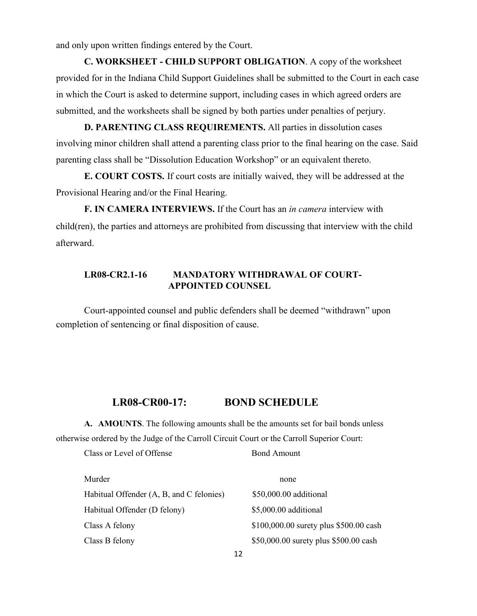and only upon written findings entered by the Court.

**C. WORKSHEET - CHILD SUPPORT OBLIGATION**. A copy of the worksheet provided for in the Indiana Child Support Guidelines shall be submitted to the Court in each case in which the Court is asked to determine support, including cases in which agreed orders are submitted, and the worksheets shall be signed by both parties under penalties of perjury.

**D. PARENTING CLASS REQUIREMENTS.** All parties in dissolution cases involving minor children shall attend a parenting class prior to the final hearing on the case. Said parenting class shall be "Dissolution Education Workshop" or an equivalent thereto.

**E. COURT COSTS.** If court costs are initially waived, they will be addressed at the Provisional Hearing and/or the Final Hearing.

**F. IN CAMERA INTERVIEWS.** If the Court has an *in camera* interview with child(ren), the parties and attorneys are prohibited from discussing that interview with the child afterward.

## **LR08-CR2.1-16 MANDATORY WITHDRAWAL OF COURT-APPOINTED COUNSEL**

Court-appointed counsel and public defenders shall be deemed "withdrawn" upon completion of sentencing or final disposition of cause.

## **LR08-CR00-17: BOND SCHEDULE**

**A. AMOUNTS**. The following amounts shall be the amounts set for bail bonds unless otherwise ordered by the Judge of the Carroll Circuit Court or the Carroll Superior Court:

Class or Level of Offense Bond Amount

| Murder                                   | none                                   |
|------------------------------------------|----------------------------------------|
| Habitual Offender (A, B, and C felonies) | \$50,000.00 additional                 |
| Habitual Offender (D felony)             | \$5,000.00 additional                  |
| Class A felony                           | \$100,000.00 surety plus \$500.00 cash |
| Class B felony                           | \$50,000.00 surety plus \$500.00 cash  |
|                                          |                                        |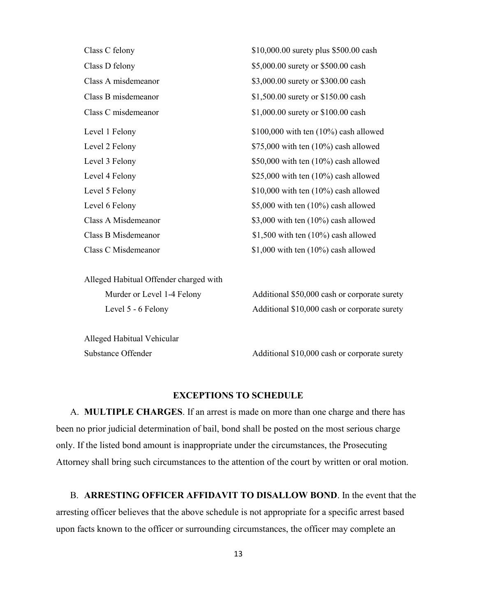| Class C felony      | \$10,000.00 surety plus \$500.00 cash    |
|---------------------|------------------------------------------|
| Class D felony      | \$5,000.00 surety or \$500.00 cash       |
| Class A misdemeanor | \$3,000.00 surety or \$300.00 cash       |
| Class B misdemeanor | \$1,500.00 surety or \$150.00 cash       |
| Class C misdemeanor | \$1,000.00 surety or \$100.00 cash       |
| Level 1 Felony      | \$100,000 with ten $(10\%)$ cash allowed |
| Level 2 Felony      | $$75,000$ with ten $(10\%)$ cash allowed |
| Level 3 Felony      | \$50,000 with ten $(10\%)$ cash allowed  |
| Level 4 Felony      | \$25,000 with ten $(10\%)$ cash allowed  |
| Level 5 Felony      | $$10,000$ with ten $(10\%)$ cash allowed |
| Level 6 Felony      | \$5,000 with ten $(10\%)$ cash allowed   |
| Class A Misdemeanor | \$3,000 with ten $(10\%)$ cash allowed   |
| Class B Misdemeanor | \$1,500 with ten $(10\%)$ cash allowed   |
| Class C Misdemeanor | \$1,000 with ten $(10\%)$ cash allowed   |

Alleged Habitual Offender charged with

Alleged Habitual Vehicular

Murder or Level 1-4 Felony Additional \$50,000 cash or corporate surety Level 5 - 6 Felony Additional \$10,000 cash or corporate surety

Substance Offender Additional \$10,000 cash or corporate surety

## **EXCEPTIONS TO SCHEDULE**

A. **MULTIPLE CHARGES**. If an arrest is made on more than one charge and there has been no prior judicial determination of bail, bond shall be posted on the most serious charge only. If the listed bond amount is inappropriate under the circumstances, the Prosecuting Attorney shall bring such circumstances to the attention of the court by written or oral motion.

B. **ARRESTING OFFICER AFFIDAVIT TO DISALLOW BOND**. In the event that the arresting officer believes that the above schedule is not appropriate for a specific arrest based upon facts known to the officer or surrounding circumstances, the officer may complete an